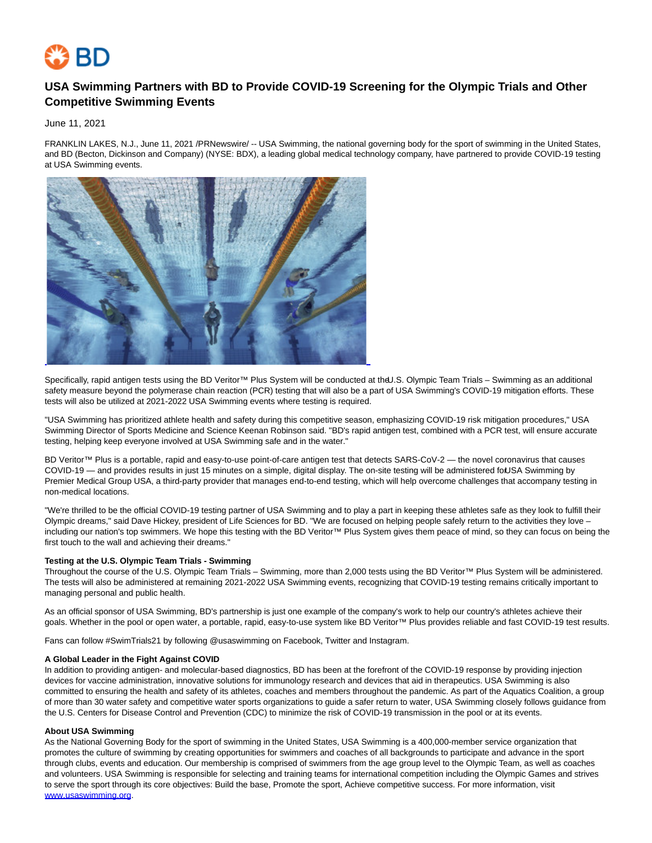

# **USA Swimming Partners with BD to Provide COVID-19 Screening for the Olympic Trials and Other Competitive Swimming Events**

June 11, 2021

FRANKLIN LAKES, N.J., June 11, 2021 /PRNewswire/ -- USA Swimming, the national governing body for the sport of swimming in the United States, and BD (Becton, Dickinson and Company) (NYSE: BDX), a leading global medical technology company, have partnered to provide COVID-19 testing at USA Swimming events.



Specifically, rapid antigen tests using the BD Veritor™ Plus System will be conducted at the U.S. Olympic Team Trials – Swimming as an additional safety measure beyond the polymerase chain reaction (PCR) testing that will also be a part of USA Swimming's COVID-19 mitigation efforts. These tests will also be utilized at 2021-2022 USA Swimming events where testing is required.

"USA Swimming has prioritized athlete health and safety during this competitive season, emphasizing COVID-19 risk mitigation procedures," USA Swimming Director of Sports Medicine and Science Keenan Robinson said. "BD's rapid antigen test, combined with a PCR test, will ensure accurate testing, helping keep everyone involved at USA Swimming safe and in the water."

BD Veritor™ Plus is a portable, rapid and easy-to-use point-of-care antigen test that detects SARS-CoV-2 — the novel coronavirus that causes COVID-19 — and provides results in just 15 minutes on a simple, digital display. The on-site testing will be administered fot USA Swimming by Premier Medical Group USA, a third-party provider that manages end-to-end testing, which will help overcome challenges that accompany testing in non-medical locations.

"We're thrilled to be the official COVID-19 testing partner of USA Swimming and to play a part in keeping these athletes safe as they look to fulfill their Olympic dreams," said Dave Hickey, president of Life Sciences for BD. "We are focused on helping people safely return to the activities they love – including our nation's top swimmers. We hope this testing with the BD Veritor™ Plus System gives them peace of mind, so they can focus on being the first touch to the wall and achieving their dreams."

### **Testing at the U.S. Olympic Team Trials - Swimming**

Throughout the course of the U.S. Olympic Team Trials – Swimming, more than 2,000 tests using the BD Veritor™ Plus System will be administered. The tests will also be administered at remaining 2021-2022 USA Swimming events, recognizing that COVID-19 testing remains critically important to managing personal and public health.

As an official sponsor of USA Swimming, BD's partnership is just one example of the company's work to help our country's athletes achieve their goals. Whether in the pool or open water, a portable, rapid, easy-to-use system like BD Veritor™ Plus provides reliable and fast COVID-19 test results.

Fans can follow #SwimTrials21 by following @usaswimming on Facebook, Twitter and Instagram.

#### **A Global Leader in the Fight Against COVID**

In addition to providing antigen- and molecular-based diagnostics, BD has been at the forefront of the COVID-19 response by providing injection devices for vaccine administration, innovative solutions for immunology research and devices that aid in therapeutics. USA Swimming is also committed to ensuring the health and safety of its athletes, coaches and members throughout the pandemic. As part of the Aquatics Coalition, a group of more than 30 water safety and competitive water sports organizations to guide a safer return to water, USA Swimming closely follows guidance from the U.S. Centers for Disease Control and Prevention (CDC) to minimize the risk of COVID-19 transmission in the pool or at its events.

### **About USA Swimming**

As the National Governing Body for the sport of swimming in the United States, USA Swimming is a 400,000-member service organization that promotes the culture of swimming by creating opportunities for swimmers and coaches of all backgrounds to participate and advance in the sport through clubs, events and education. Our membership is comprised of swimmers from the age group level to the Olympic Team, as well as coaches and volunteers. USA Swimming is responsible for selecting and training teams for international competition including the Olympic Games and strives to serve the sport through its core objectives: Build the base, Promote the sport, Achieve competitive success. For more information, visit [www.usaswimming.org.](https://c212.net/c/link/?t=0&l=en&o=3193288-1&h=2915275839&u=http%3A%2F%2Fwww.usaswimming.org%2F&a=www.usaswimming.org)